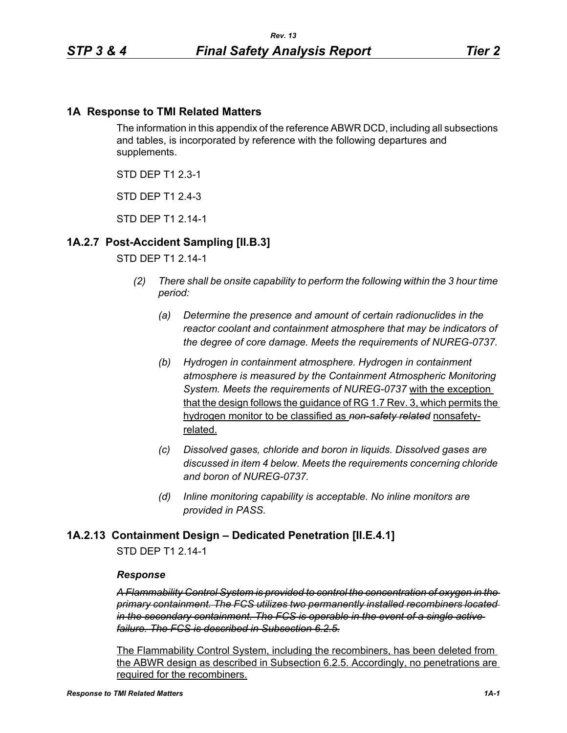### **1A Response to TMI Related Matters**

The information in this appendix of the reference ABWR DCD, including all subsections and tables, is incorporated by reference with the following departures and supplements.

STD DEP T1 2.3-1

STD DFP T1 2 4-3

STD DFP T1 2 14-1

# **1A.2.7 Post-Accident Sampling [II.B.3]**

### STD DEP T1 2.14-1

- *(2) There shall be onsite capability to perform the following within the 3 hour time period:*
	- *(a) Determine the presence and amount of certain radionuclides in the reactor coolant and containment atmosphere that may be indicators of the degree of core damage. Meets the requirements of NUREG-0737.*
	- *(b) Hydrogen in containment atmosphere. Hydrogen in containment atmosphere is measured by the Containment Atmospheric Monitoring System. Meets the requirements of NUREG-0737* with the exception that the design follows the guidance of RG 1.7 Rev. 3, which permits the hydrogen monitor to be classified as *non-safety related* nonsafetyrelated.
	- *(c) Dissolved gases, chloride and boron in liquids. Dissolved gases are discussed in item 4 below. Meets the requirements concerning chloride and boron of NUREG-0737.*
	- *(d) Inline monitoring capability is acceptable. No inline monitors are provided in PASS.*

### **1A.2.13 Containment Design – Dedicated Penetration [II.E.4.1]**

STD DEP T1 2.14-1

#### *Response*

*A Flammability Control System is provided to control the concentration of oxygen in the primary containment. The FCS utilizes two permanently installed recombiners located in the secondary containment. The FCS is operable in the event of a single active failure. The FCS is described in Subsection 6.2.5.*

The Flammability Control System, including the recombiners, has been deleted from the ABWR design as described in Subsection 6.2.5. Accordingly, no penetrations are required for the recombiners.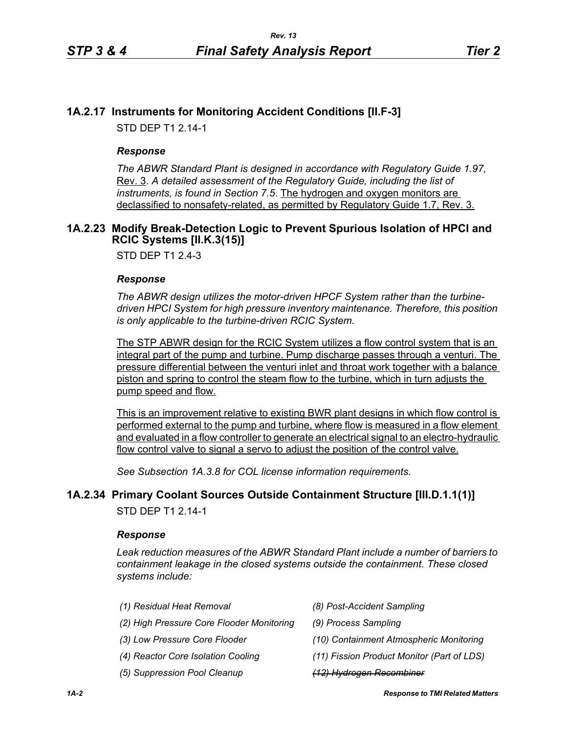# **1A.2.17 Instruments for Monitoring Accident Conditions [II.F-3]**

STD DEP T1 2.14-1

### *Response*

*The ABWR Standard Plant is designed in accordance with Regulatory Guide 1.97,* Rev. 3. *A detailed assessment of the Regulatory Guide, including the list of instruments, is found in Section 7.5*. The hydrogen and oxygen monitors are declassified to nonsafety-related, as permitted by Regulatory Guide 1.7, Rev. 3.

### <span id="page-1-0"></span>**1A.2.23 Modify Break-Detection Logic to Prevent Spurious Isolation of HPCI and RCIC Systems [II.K.3(15)]**

STD DEP T1 2.4-3

#### *Response*

*The ABWR design utilizes the motor-driven HPCF System rather than the turbinedriven HPCI System for high pressure inventory maintenance. Therefore, this position is only applicable to the turbine-driven RCIC System.*

The STP ABWR design for the RCIC System utilizes a flow control system that is an integral part of the pump and turbine. Pump discharge passes through a venturi. The pressure differential between the venturi inlet and throat work together with a balance piston and spring to control the steam flow to the turbine, which in turn adjusts the pump speed and flow.

This is an improvement relative to existing BWR plant designs in which flow control is performed external to the pump and turbine, where flow is measured in a flow element and evaluated in a flow controller to generate an electrical signal to an electro-hydraulic flow control valve to signal a servo to adjust the position of the control valve.

*See Subsection 1A.3.8 for COL license information requirements.*

### **1A.2.34 Primary Coolant Sources Outside Containment Structure [III.D.1.1(1)]**

STD DEP T1 2.14-1

#### *Response*

*Leak reduction measures of the ABWR Standard Plant include a number of barriers to containment leakage in the closed systems outside the containment. These closed systems include:*

| (1) Residual Heat Removal                 | (8) Post-Accident Sampling                 |
|-------------------------------------------|--------------------------------------------|
| (2) High Pressure Core Flooder Monitoring | (9) Process Sampling                       |
| (3) Low Pressure Core Flooder             | (10) Containment Atmospheric Monitoring    |
| (4) Reactor Core Isolation Cooling        | (11) Fission Product Monitor (Part of LDS) |
| (5) Suppression Pool Cleanup              | <del>(12) Hydrogen Recombiner</del>        |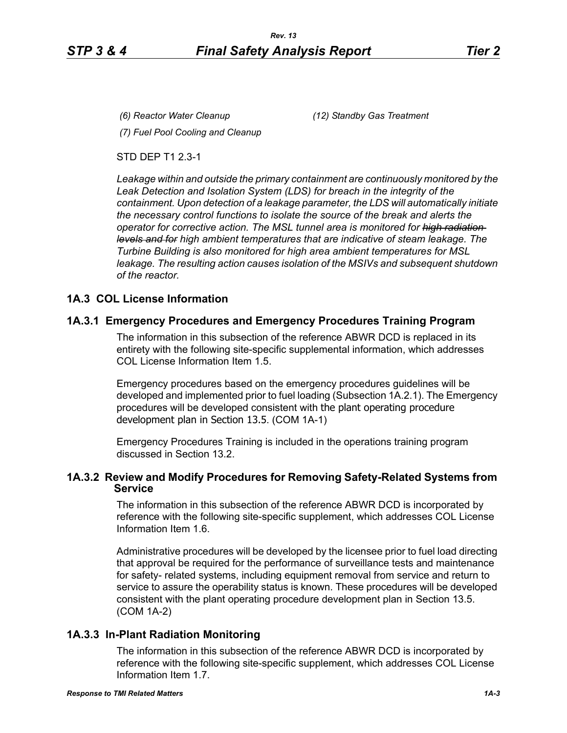*(6) Reactor Water Cleanup (12) Standby Gas Treatment*

*(7) Fuel Pool Cooling and Cleanup*

STD DEP T1 2.3-1

*Leakage within and outside the primary containment are continuously monitored by the Leak Detection and Isolation System (LDS) for breach in the integrity of the containment. Upon detection of a leakage parameter, the LDS will automatically initiate the necessary control functions to isolate the source of the break and alerts the operator for corrective action. The MSL tunnel area is monitored for high radiation levels and for high ambient temperatures that are indicative of steam leakage. The Turbine Building is also monitored for high area ambient temperatures for MSL leakage. The resulting action causes isolation of the MSIVs and subsequent shutdown of the reactor.*

# **1A.3 COL License Information**

# **1A.3.1 Emergency Procedures and Emergency Procedures Training Program**

The information in this subsection of the reference ABWR DCD is replaced in its entirety with the following site-specific supplemental information, which addresses COL License Information Item 1.5.

Emergency procedures based on the emergency procedures guidelines will be developed and implemented prior to fuel loading (Subsection 1A.2.1). The Emergency procedures will be developed consistent with the plant operating procedure development plan in Section 13.5. (COM 1A-1)

Emergency Procedures Training is included in the operations training program discussed in Section 13.2.

# **1A.3.2 Review and Modify Procedures for Removing Safety-Related Systems from Service**

The information in this subsection of the reference ABWR DCD is incorporated by reference with the following site-specific supplement, which addresses COL License Information Item 1.6.

Administrative procedures will be developed by the licensee prior to fuel load directing that approval be required for the performance of surveillance tests and maintenance for safety- related systems, including equipment removal from service and return to service to assure the operability status is known. These procedures will be developed consistent with the plant operating procedure development plan in Section 13.5. (COM 1A-2)

# **1A.3.3 In-Plant Radiation Monitoring**

The information in this subsection of the reference ABWR DCD is incorporated by reference with the following site-specific supplement, which addresses COL License Information Item 1.7.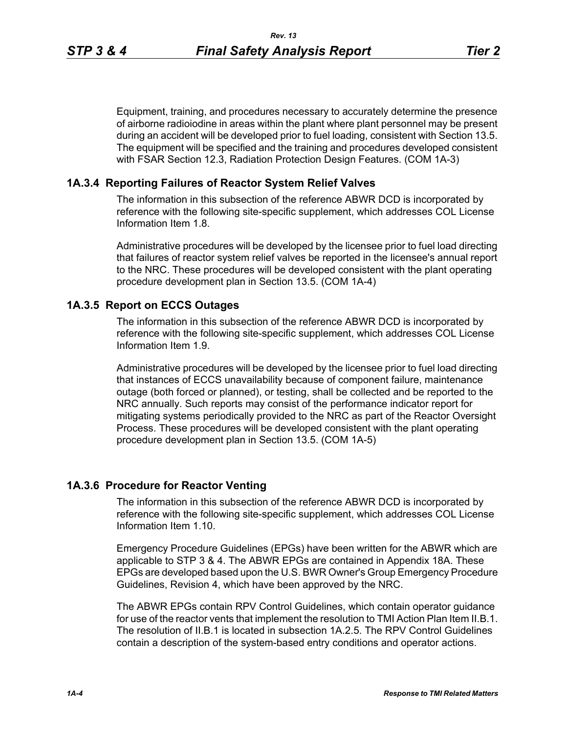Equipment, training, and procedures necessary to accurately determine the presence of airborne radioiodine in areas within the plant where plant personnel may be present during an accident will be developed prior to fuel loading, consistent with Section 13.5. The equipment will be specified and the training and procedures developed consistent with FSAR Section 12.3, Radiation Protection Design Features. (COM 1A-3)

### **1A.3.4 Reporting Failures of Reactor System Relief Valves**

The information in this subsection of the reference ABWR DCD is incorporated by reference with the following site-specific supplement, which addresses COL License Information Item 1.8.

Administrative procedures will be developed by the licensee prior to fuel load directing that failures of reactor system relief valves be reported in the licensee's annual report to the NRC. These procedures will be developed consistent with the plant operating procedure development plan in Section 13.5. (COM 1A-4)

# **1A.3.5 Report on ECCS Outages**

The information in this subsection of the reference ABWR DCD is incorporated by reference with the following site-specific supplement, which addresses COL License Information Item 1.9.

Administrative procedures will be developed by the licensee prior to fuel load directing that instances of ECCS unavailability because of component failure, maintenance outage (both forced or planned), or testing, shall be collected and be reported to the NRC annually. Such reports may consist of the performance indicator report for mitigating systems periodically provided to the NRC as part of the Reactor Oversight Process. These procedures will be developed consistent with the plant operating procedure development plan in Section 13.5. (COM 1A-5)

# **1A.3.6 Procedure for Reactor Venting**

The information in this subsection of the reference ABWR DCD is incorporated by reference with the following site-specific supplement, which addresses COL License Information Item 1.10.

Emergency Procedure Guidelines (EPGs) have been written for the ABWR which are applicable to STP 3 & 4. The ABWR EPGs are contained in Appendix 18A. These EPGs are developed based upon the U.S. BWR Owner's Group Emergency Procedure Guidelines, Revision 4, which have been approved by the NRC.

The ABWR EPGs contain RPV Control Guidelines, which contain operator guidance for use of the reactor vents that implement the resolution to TMI Action Plan Item II.B.1. The resolution of II.B.1 is located in subsection 1A.2.5. The RPV Control Guidelines contain a description of the system-based entry conditions and operator actions.